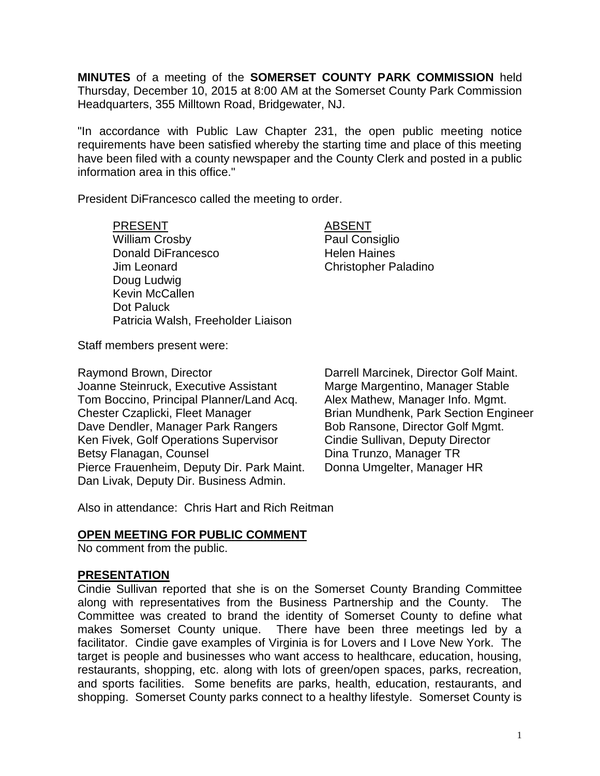**MINUTES** of a meeting of the **SOMERSET COUNTY PARK COMMISSION** held Thursday, December 10, 2015 at 8:00 AM at the Somerset County Park Commission Headquarters, 355 Milltown Road, Bridgewater, NJ.

"In accordance with Public Law Chapter 231, the open public meeting notice requirements have been satisfied whereby the starting time and place of this meeting have been filed with a county newspaper and the County Clerk and posted in a public information area in this office."

President DiFrancesco called the meeting to order.

PRESENT ABSENT

William Crosby **Paul Consiglio** Donald DiFrancesco Helen Haines Jim Leonard Christopher Paladino Doug Ludwig Kevin McCallen Dot Paluck Patricia Walsh, Freeholder Liaison

Staff members present were:

Raymond Brown, Director **Darrell Marcinek, Director Golf Maint.** Joanne Steinruck, Executive Assistant Marge Margentino, Manager Stable Tom Boccino, Principal Planner/Land Acq. Alex Mathew, Manager Info. Mgmt. Chester Czaplicki, Fleet Manager Brian Mundhenk, Park Section Engineer Dave Dendler, Manager Park Rangers Bob Ransone, Director Golf Mgmt. Ken Fivek, Golf Operations Supervisor Cindie Sullivan, Deputy Director Betsy Flanagan, Counsel **Dina Trunzo**, Manager TR Pierce Frauenheim, Deputy Dir. Park Maint. Donna Umgelter, Manager HR Dan Livak, Deputy Dir. Business Admin.

Also in attendance: Chris Hart and Rich Reitman

### **OPEN MEETING FOR PUBLIC COMMENT**

No comment from the public.

#### **PRESENTATION**

Cindie Sullivan reported that she is on the Somerset County Branding Committee along with representatives from the Business Partnership and the County. The Committee was created to brand the identity of Somerset County to define what makes Somerset County unique. There have been three meetings led by a facilitator. Cindie gave examples of Virginia is for Lovers and I Love New York. The target is people and businesses who want access to healthcare, education, housing, restaurants, shopping, etc. along with lots of green/open spaces, parks, recreation, and sports facilities. Some benefits are parks, health, education, restaurants, and shopping. Somerset County parks connect to a healthy lifestyle. Somerset County is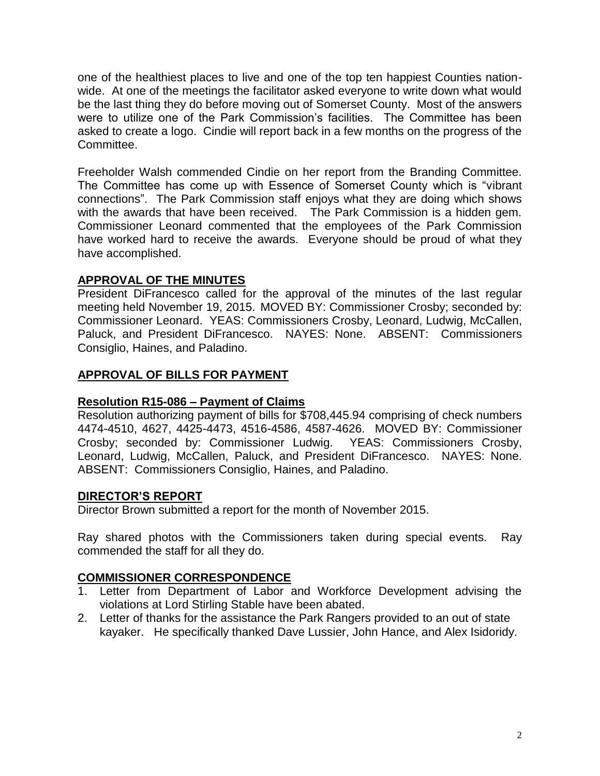one of the healthiest places to live and one of the top ten happiest Counties nationwide. At one of the meetings the facilitator asked everyone to write down what would be the last thing they do before moving out of Somerset County. Most of the answers were to utilize one of the Park Commission's facilities. The Committee has been asked to create a logo. Cindie will report back in a few months on the progress of the Committee.

Freeholder Walsh commended Cindie on her report from the Branding Committee. The Committee has come up with Essence of Somerset County which is "vibrant connections". The Park Commission staff enjoys what they are doing which shows with the awards that have been received. The Park Commission is a hidden gem. Commissioner Leonard commented that the employees of the Park Commission have worked hard to receive the awards. Everyone should be proud of what they have accomplished.

# **APPROVAL OF THE MINUTES**

President DiFrancesco called for the approval of the minutes of the last regular meeting held November 19, 2015. MOVED BY: Commissioner Crosby; seconded by: Commissioner Leonard. YEAS: Commissioners Crosby, Leonard, Ludwig, McCallen, Paluck, and President DiFrancesco. NAYES: None. ABSENT: Commissioners Consiglio, Haines, and Paladino.

## **APPROVAL OF BILLS FOR PAYMENT**

### **Resolution R15-086 – Payment of Claims**

Resolution authorizing payment of bills for \$708,445.94 comprising of check numbers 4474-4510, 4627, 4425-4473, 4516-4586, 4587-4626. MOVED BY: Commissioner Crosby; seconded by: Commissioner Ludwig. YEAS: Commissioners Crosby, Leonard, Ludwig, McCallen, Paluck, and President DiFrancesco. NAYES: None. ABSENT: Commissioners Consiglio, Haines, and Paladino.

### **DIRECTOR'S REPORT**

Director Brown submitted a report for the month of November 2015.

Ray shared photos with the Commissioners taken during special events. Ray commended the staff for all they do.

# **COMMISSIONER CORRESPONDENCE**

- 1. Letter from Department of Labor and Workforce Development advising the violations at Lord Stirling Stable have been abated.
- 2. Letter of thanks for the assistance the Park Rangers provided to an out of state kayaker. He specifically thanked Dave Lussier, John Hance, and Alex Isidoridy.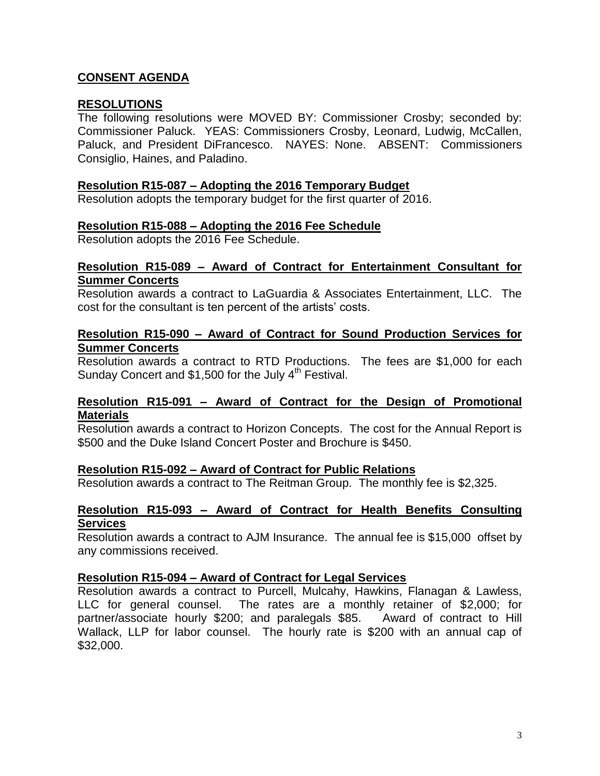## **CONSENT AGENDA**

### **RESOLUTIONS**

The following resolutions were MOVED BY: Commissioner Crosby; seconded by: Commissioner Paluck. YEAS: Commissioners Crosby, Leonard, Ludwig, McCallen, Paluck, and President DiFrancesco. NAYES: None. ABSENT: Commissioners Consiglio, Haines, and Paladino.

#### **Resolution R15-087 – Adopting the 2016 Temporary Budget**

Resolution adopts the temporary budget for the first quarter of 2016.

#### **Resolution R15-088 – Adopting the 2016 Fee Schedule**

Resolution adopts the 2016 Fee Schedule.

#### **Resolution R15-089 – Award of Contract for Entertainment Consultant for Summer Concerts**

Resolution awards a contract to LaGuardia & Associates Entertainment, LLC. The cost for the consultant is ten percent of the artists' costs.

#### **Resolution R15-090 – Award of Contract for Sound Production Services for Summer Concerts**

Resolution awards a contract to RTD Productions. The fees are \$1,000 for each Sunday Concert and \$1,500 for the July  $4<sup>th</sup>$  Festival.

#### **Resolution R15-091 – Award of Contract for the Design of Promotional Materials**

Resolution awards a contract to Horizon Concepts. The cost for the Annual Report is \$500 and the Duke Island Concert Poster and Brochure is \$450.

### **Resolution R15-092 – Award of Contract for Public Relations**

Resolution awards a contract to The Reitman Group. The monthly fee is \$2,325.

#### **Resolution R15-093 – Award of Contract for Health Benefits Consulting Services**

Resolution awards a contract to AJM Insurance. The annual fee is \$15,000 offset by any commissions received.

### **Resolution R15-094 – Award of Contract for Legal Services**

Resolution awards a contract to Purcell, Mulcahy, Hawkins, Flanagan & Lawless, LLC for general counsel. The rates are a monthly retainer of \$2,000; for partner/associate hourly \$200; and paralegals \$85. Award of contract to Hill Wallack, LLP for labor counsel. The hourly rate is \$200 with an annual cap of \$32,000.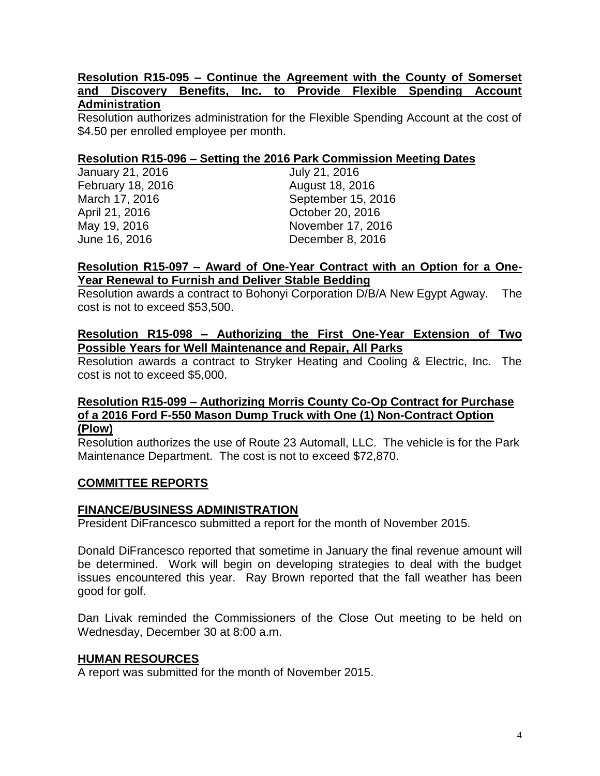#### **Resolution R15-095 – Continue the Agreement with the County of Somerset and Discovery Benefits, Inc. to Provide Flexible Spending Account Administration**

Resolution authorizes administration for the Flexible Spending Account at the cost of \$4.50 per enrolled employee per month.

### **Resolution R15-096 – Setting the 2016 Park Commission Meeting Dates**

| January 21, 2016  | July 21, 2016      |
|-------------------|--------------------|
| February 18, 2016 | August 18, 2016    |
| March 17, 2016    | September 15, 2016 |
| April 21, 2016    | October 20, 2016   |
| May 19, 2016      | November 17, 2016  |
| June 16, 2016     | December 8, 2016   |
|                   |                    |

#### **Resolution R15-097 – Award of One-Year Contract with an Option for a One-Year Renewal to Furnish and Deliver Stable Bedding**

Resolution awards a contract to Bohonyi Corporation D/B/A New Egypt Agway. The cost is not to exceed \$53,500.

### **Resolution R15-098 – Authorizing the First One-Year Extension of Two Possible Years for Well Maintenance and Repair, All Parks**

Resolution awards a contract to Stryker Heating and Cooling & Electric, Inc. The cost is not to exceed \$5,000.

#### **Resolution R15-099 – Authorizing Morris County Co-Op Contract for Purchase of a 2016 Ford F-550 Mason Dump Truck with One (1) Non-Contract Option (Plow)**

Resolution authorizes the use of Route 23 Automall, LLC. The vehicle is for the Park Maintenance Department. The cost is not to exceed \$72,870.

### **COMMITTEE REPORTS**

### **FINANCE/BUSINESS ADMINISTRATION**

President DiFrancesco submitted a report for the month of November 2015.

Donald DiFrancesco reported that sometime in January the final revenue amount will be determined. Work will begin on developing strategies to deal with the budget issues encountered this year. Ray Brown reported that the fall weather has been good for golf.

Dan Livak reminded the Commissioners of the Close Out meeting to be held on Wednesday, December 30 at 8:00 a.m.

### **HUMAN RESOURCES**

A report was submitted for the month of November 2015.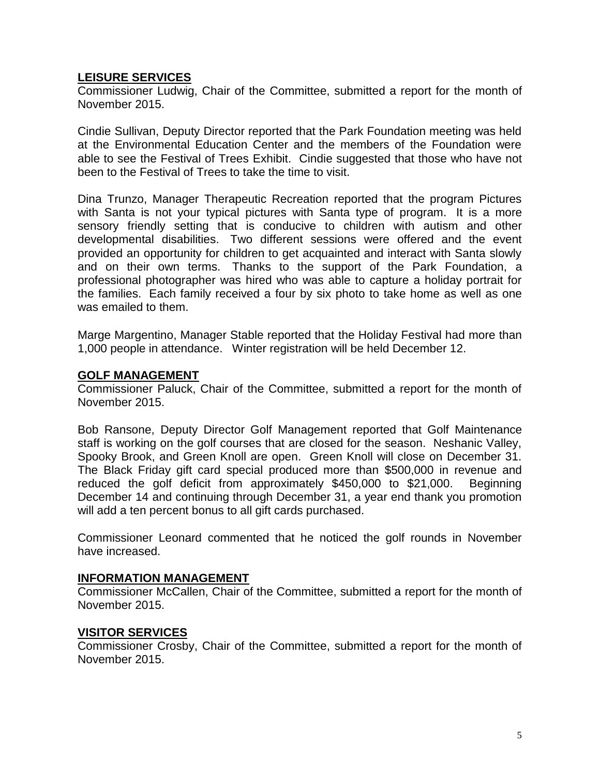## **LEISURE SERVICES**

Commissioner Ludwig, Chair of the Committee, submitted a report for the month of November 2015.

Cindie Sullivan, Deputy Director reported that the Park Foundation meeting was held at the Environmental Education Center and the members of the Foundation were able to see the Festival of Trees Exhibit. Cindie suggested that those who have not been to the Festival of Trees to take the time to visit.

Dina Trunzo, Manager Therapeutic Recreation reported that the program Pictures with Santa is not your typical pictures with Santa type of program. It is a more sensory friendly setting that is conducive to children with autism and other developmental disabilities. Two different sessions were offered and the event provided an opportunity for children to get acquainted and interact with Santa slowly and on their own terms. Thanks to the support of the Park Foundation, a professional photographer was hired who was able to capture a holiday portrait for the families. Each family received a four by six photo to take home as well as one was emailed to them.

Marge Margentino, Manager Stable reported that the Holiday Festival had more than 1,000 people in attendance. Winter registration will be held December 12.

#### **GOLF MANAGEMENT**

Commissioner Paluck, Chair of the Committee, submitted a report for the month of November 2015.

Bob Ransone, Deputy Director Golf Management reported that Golf Maintenance staff is working on the golf courses that are closed for the season. Neshanic Valley, Spooky Brook, and Green Knoll are open. Green Knoll will close on December 31. The Black Friday gift card special produced more than \$500,000 in revenue and reduced the golf deficit from approximately \$450,000 to \$21,000. Beginning December 14 and continuing through December 31, a year end thank you promotion will add a ten percent bonus to all gift cards purchased.

Commissioner Leonard commented that he noticed the golf rounds in November have increased.

### **INFORMATION MANAGEMENT**

Commissioner McCallen, Chair of the Committee, submitted a report for the month of November 2015.

### **VISITOR SERVICES**

Commissioner Crosby, Chair of the Committee, submitted a report for the month of November 2015.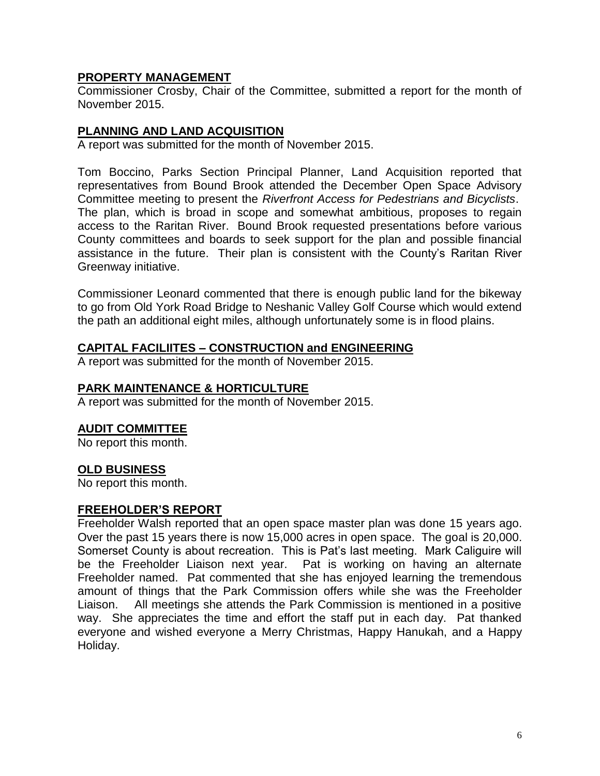# **PROPERTY MANAGEMENT**

Commissioner Crosby, Chair of the Committee, submitted a report for the month of November 2015.

## **PLANNING AND LAND ACQUISITION**

A report was submitted for the month of November 2015.

Tom Boccino, Parks Section Principal Planner, Land Acquisition reported that representatives from Bound Brook attended the December Open Space Advisory Committee meeting to present the *Riverfront Access for Pedestrians and Bicyclists*. The plan, which is broad in scope and somewhat ambitious, proposes to regain access to the Raritan River. Bound Brook requested presentations before various County committees and boards to seek support for the plan and possible financial assistance in the future. Their plan is consistent with the County's Raritan River Greenway initiative.

Commissioner Leonard commented that there is enough public land for the bikeway to go from Old York Road Bridge to Neshanic Valley Golf Course which would extend the path an additional eight miles, although unfortunately some is in flood plains.

#### **CAPITAL FACILIITES – CONSTRUCTION and ENGINEERING**

A report was submitted for the month of November 2015.

### **PARK MAINTENANCE & HORTICULTURE**

A report was submitted for the month of November 2015.

### **AUDIT COMMITTEE**

No report this month.

### **OLD BUSINESS**

No report this month.

#### **FREEHOLDER'S REPORT**

Freeholder Walsh reported that an open space master plan was done 15 years ago. Over the past 15 years there is now 15,000 acres in open space. The goal is 20,000. Somerset County is about recreation. This is Pat's last meeting. Mark Caliguire will be the Freeholder Liaison next year. Pat is working on having an alternate Freeholder named. Pat commented that she has enjoyed learning the tremendous amount of things that the Park Commission offers while she was the Freeholder Liaison. All meetings she attends the Park Commission is mentioned in a positive way. She appreciates the time and effort the staff put in each day. Pat thanked everyone and wished everyone a Merry Christmas, Happy Hanukah, and a Happy Holiday.